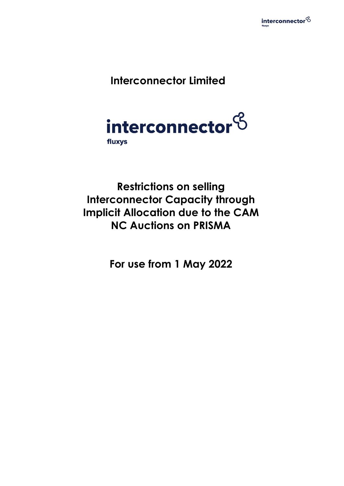

# **Interconnector Limited**



**Restrictions on selling Interconnector Capacity through Implicit Allocation due to the CAM NC Auctions on PRISMA** 

**For use from 1 May 2022**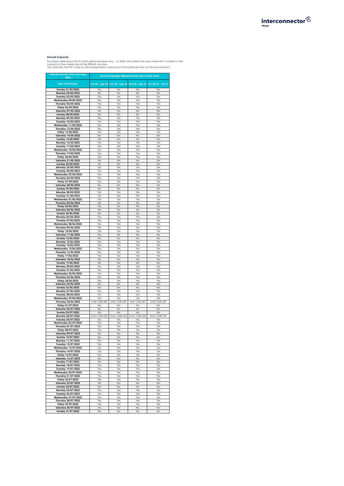

**Annual Capacity**<br>The below table shows the 3 month period between May - Jul 2022 and outlines the days where INT is unable to offer<br>capacity to the market due to the PRISMA Auctions.<br>"Yes' indicates that INT is able to of

| 3 Month Forward View from May<br>2022              | Annual Capacity Offered for the next 15 Gas Years |                      |                                                 |                       |  |  |  |  |  |  |
|----------------------------------------------------|---------------------------------------------------|----------------------|-------------------------------------------------|-----------------------|--|--|--|--|--|--|
| <b>Day of Purchase</b>                             |                                                   |                      | Oct 22 - Sep 23 Oct 23 - Sep 24 Oct 24 - Sep 25 | GY 25-26 - 36-37      |  |  |  |  |  |  |
| Sunday 01/05/2022                                  | No                                                | No                   | No                                              | No                    |  |  |  |  |  |  |
| Monday 02/05/2022                                  | No                                                | No                   | No                                              | No                    |  |  |  |  |  |  |
| Tuesday 03/05/2022                                 | Yes                                               | Yes                  | Yes                                             | Yes                   |  |  |  |  |  |  |
| <b>Wednesday 04/05/2022</b>                        | Yes                                               | Yes                  | Yes                                             | Yes                   |  |  |  |  |  |  |
| Thursday 05/05/2022                                | Yes                                               | Yes                  | Yes                                             | Yes                   |  |  |  |  |  |  |
| Friday 06/05/2022                                  | Yes                                               | Yes                  | Yes                                             | Yes                   |  |  |  |  |  |  |
| Saturday 07/05/2022                                | No                                                | No                   | No                                              | No                    |  |  |  |  |  |  |
| Sunday 08/05/2022                                  | No                                                | No                   | No                                              | No                    |  |  |  |  |  |  |
| Monday 09/05/2022                                  | Yes                                               | Yes                  | Yes                                             | Yes                   |  |  |  |  |  |  |
| Tuesday 10/05/2022                                 | Yes                                               | Yes                  | Yes                                             | Yes                   |  |  |  |  |  |  |
| Wednesday 11/05/2022                               | Yes                                               | Yes                  | Yes                                             | Yes                   |  |  |  |  |  |  |
| Thursday 12/05/2022                                | Yes                                               | Yes                  | Yes                                             | Yes                   |  |  |  |  |  |  |
| Friday 13/05/2022                                  | Yes                                               | Yes                  | Yes                                             | Yes                   |  |  |  |  |  |  |
| Saturday 14/05/2022                                | No                                                | No                   | No                                              | No                    |  |  |  |  |  |  |
| Sunday 15/05/2022                                  | No                                                | No                   | No                                              | No                    |  |  |  |  |  |  |
| Monday 16/05/2022                                  | Yes                                               | Yes                  | Yes                                             | Yes                   |  |  |  |  |  |  |
| Tuesday 17/05/2022                                 | Yes                                               | Yes                  | Yes                                             | Yes                   |  |  |  |  |  |  |
| <b>Wednesday 18/05/2022</b>                        | Yes                                               | Yes                  | Yes                                             | Yes                   |  |  |  |  |  |  |
| Thursday 19/05/2022                                | Yes<br>Yes                                        | Yes                  | Yes                                             | Yes                   |  |  |  |  |  |  |
| Friday 20/05/2022                                  | No                                                | Yes<br>No            | Yes<br>No                                       | Yes<br>No             |  |  |  |  |  |  |
| Saturday 21/05/2022                                | No                                                | No                   | No                                              | No                    |  |  |  |  |  |  |
| Sunday 22/05/2022<br>Monday 23/05/2022             | Yes                                               | Yes                  | Yes                                             | Yes                   |  |  |  |  |  |  |
|                                                    |                                                   |                      |                                                 |                       |  |  |  |  |  |  |
| Tuesday 24/05/2022                                 | Yes<br>Yes                                        | Yes<br>Yes           | Yes<br>Yes                                      | Yes<br>Yes            |  |  |  |  |  |  |
| Wednesday 25/05/2022<br>Thursday 26/05/2022        | Yes                                               | Yes                  | Yes                                             | Yes                   |  |  |  |  |  |  |
| Friday 27/05/2022                                  | Yes                                               | Yes                  | Yes                                             | Yes                   |  |  |  |  |  |  |
| Saturday 28/05/2022                                | No                                                | No                   | No                                              | No                    |  |  |  |  |  |  |
| Sunday 29/05/2022                                  | No                                                | No                   | No                                              | No                    |  |  |  |  |  |  |
| Monday 30/05/2022                                  | Yes                                               | Yes                  | Yes                                             | Yes                   |  |  |  |  |  |  |
| Tuesday 31/05/2022                                 | Yes                                               | Yes                  | Yes                                             | Yes                   |  |  |  |  |  |  |
| Wednesday 01/06/2022                               | Yes                                               | Yes                  | Yes                                             | Yes                   |  |  |  |  |  |  |
| Thursday 02/06/2022                                | No                                                | No                   | No                                              | No                    |  |  |  |  |  |  |
| Friday 03/06/2022                                  | No                                                | No                   | No                                              | No                    |  |  |  |  |  |  |
| Saturday 04/06/2022                                | No                                                | No                   | No                                              | No                    |  |  |  |  |  |  |
| Sunday 05/06/2022                                  | No                                                | No                   | No                                              | No                    |  |  |  |  |  |  |
| Monday 06/06/2022                                  | Yes                                               | Yes                  | Yes                                             | Yes                   |  |  |  |  |  |  |
| Tuesday 07/06/2022                                 | Yes                                               | Yes                  | Yes                                             | Yes                   |  |  |  |  |  |  |
| Wednesday 08/06/2022                               | Yes                                               | Yes                  | Yes                                             | Yes                   |  |  |  |  |  |  |
| Thursday 09/06/2022                                | Yes                                               | Yes                  | Yes                                             | Yes                   |  |  |  |  |  |  |
| Friday 10/06/2022                                  | Yes                                               | Yes                  | Yes                                             | Yes                   |  |  |  |  |  |  |
| Saturday 11/06/2022                                | No                                                | No                   | No                                              | No                    |  |  |  |  |  |  |
| Sunday 12/06/2022                                  | No                                                | No                   | No                                              | No                    |  |  |  |  |  |  |
| Monday 13/06/2022                                  | Yes                                               | Yes                  | Yes                                             | Yes                   |  |  |  |  |  |  |
| Tuesday 14/06/2022                                 | Yes                                               | Yes                  | Yes                                             | Yes                   |  |  |  |  |  |  |
| Wednesday 15/06/2022                               | Yes                                               | Yes                  | Yes                                             | Yes                   |  |  |  |  |  |  |
| Thursday 16/06/2022                                | Yes                                               | Yes                  | Yes                                             | Yes                   |  |  |  |  |  |  |
| Friday 17/06/2022                                  | Yes                                               | Yes                  | Yes                                             | Yes                   |  |  |  |  |  |  |
| Saturday 18/06/2022                                | No                                                | No                   | No                                              | No                    |  |  |  |  |  |  |
| Sunday 19/06/2022                                  | No                                                | No                   | No                                              | No                    |  |  |  |  |  |  |
| Monday 20/06/2022                                  | Yes                                               | Yes                  | Yes                                             | Yes                   |  |  |  |  |  |  |
| Tuesday 21/06/2022                                 | Yes                                               | Yes                  | Yes                                             | Yes                   |  |  |  |  |  |  |
| Wednesday 22/06/2022                               | Yes                                               | Yes                  | Yes                                             | Yes                   |  |  |  |  |  |  |
| Thursday 23/06/2022                                | Yes                                               | Yes                  | Yes                                             | Yes                   |  |  |  |  |  |  |
| Friday 24/06/2022                                  | Yes                                               | Yes                  | Yes                                             | Yes                   |  |  |  |  |  |  |
| Saturday 25/06/2022                                | No                                                | No                   | No                                              | No                    |  |  |  |  |  |  |
| Sunday 26/06/2022                                  | No                                                | No                   | No                                              | No                    |  |  |  |  |  |  |
| Monday 27/06/2022                                  | Yes                                               | Yes                  | Yes                                             | Yes                   |  |  |  |  |  |  |
| Tuesday 28/06/2022                                 | Yes                                               | Yes                  | Yes                                             | Yes                   |  |  |  |  |  |  |
| Wednesday 29/06/2022                               | Yes                                               | Yes                  | Yes                                             | Yes                   |  |  |  |  |  |  |
| Thursday 30/06/2022                                | Until 12:00 UKT                                   | Until 12:00 UKT      | Until 12:00 UKT                                 | Until 12:00 UKT       |  |  |  |  |  |  |
| Friday 01/07/2022                                  | No                                                | No                   | No                                              | No                    |  |  |  |  |  |  |
| Saturday 02/07/2022                                | No                                                | No                   | No                                              | No                    |  |  |  |  |  |  |
| Sunday 03/07/2022<br>Monday 04/07/2022             | No                                                | No<br>From 13:00 UKT | No                                              | No                    |  |  |  |  |  |  |
| Tuesday 05/07/2022                                 | From 13:00 UKT<br>Yes                             | Yes                  | From 13:00 UKT<br>Yes                           | From 13:00 UKT<br>Yes |  |  |  |  |  |  |
|                                                    |                                                   |                      |                                                 |                       |  |  |  |  |  |  |
| <b>Wednesday 06/07/2022</b><br>Thursday 07/07/2022 | Yes<br>Yes                                        | Yes<br>Yes           | Yes<br>Yes                                      | Yes<br>Yes            |  |  |  |  |  |  |
| Friday 08/07/2022                                  | Yes                                               | Yes                  | Yes                                             | Yes                   |  |  |  |  |  |  |
| Saturday 09/07/2022                                | No                                                | No                   | No                                              | No                    |  |  |  |  |  |  |
| Sunday 10/07/2022                                  | No                                                | No                   | No                                              | No                    |  |  |  |  |  |  |
| Monday 11/07/2022                                  | Yes                                               | Yes                  | Yes                                             | Yes                   |  |  |  |  |  |  |
| Tuesday 12/07/2022                                 | Yes                                               | Yes                  | Yes                                             | Yes                   |  |  |  |  |  |  |
| Wednesday 13/07/2022                               | Yes                                               | Yes                  | Yes                                             | Yes                   |  |  |  |  |  |  |
| Thursday 14/07/2022                                | Yes                                               | Yes                  | Yes                                             | Yes                   |  |  |  |  |  |  |
| Friday 15/07/2022                                  | Yes                                               | Yes                  | Yes                                             | Yes                   |  |  |  |  |  |  |
| Saturday 16/07/2022                                | No                                                | No                   | No                                              | No                    |  |  |  |  |  |  |
| Sunday 17/07/2022                                  | No                                                | No                   | No                                              | No                    |  |  |  |  |  |  |
| Monday 18/07/2022                                  | Yes                                               | Yes                  | Yes                                             | Yes                   |  |  |  |  |  |  |
| Tuesday 19/07/2022                                 | Yes                                               | Yes                  | Yes                                             | Yes                   |  |  |  |  |  |  |
| <b>Wednesday 20/07/2022</b>                        | Yes                                               | Yes                  | Yes                                             | Yes                   |  |  |  |  |  |  |
| Thursday 21/07/2022                                | Yes                                               | Yes                  | Yes                                             | Yes                   |  |  |  |  |  |  |
| Friday 22/07/2022                                  | Yes                                               | Yes                  | Yes                                             | Yes                   |  |  |  |  |  |  |
| Saturday 23/07/2022                                | No                                                | No                   | No                                              | No                    |  |  |  |  |  |  |
| Sunday 24/07/2022                                  | No                                                | No                   | No                                              | No                    |  |  |  |  |  |  |
| Monday 25/07/2022                                  | Yes                                               | Yes                  | Yes                                             | Yes                   |  |  |  |  |  |  |
| Tuesday 26/07/2022                                 | Yes                                               | Yes                  | Yes                                             | Yes                   |  |  |  |  |  |  |
| <b>Wednesday 27/07/2022</b>                        | Yes                                               | Yes                  | Yes                                             | Yes                   |  |  |  |  |  |  |
| Thursday 28/07/2022                                | Yes                                               | Yes                  | Yes                                             | Yes                   |  |  |  |  |  |  |
| Friday 29/07/2022                                  | Yes                                               | Yes                  | Yes                                             | Yes                   |  |  |  |  |  |  |
| Saturday 30/07/2022                                | No                                                | No                   | No                                              | No                    |  |  |  |  |  |  |
| Sunday 31/07/2022                                  | No                                                | No                   | No                                              | No                    |  |  |  |  |  |  |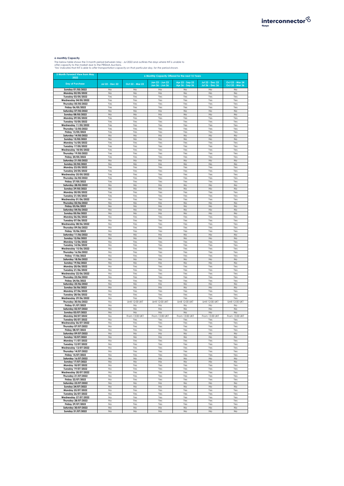

**6 monthly Capacity**<br>The below table shows the 3 month period between May - Jul 2022 and outlines the days where INT is unable to<br>offer capacity to the market due to the PRISMA Auctions.<br>"Yes' indicates that INT is able to

| 3 Month Forward View from May<br>2022              | 6 Monthly Capacity Offered for the next 15 Years |                 |                 |                 |                        |                 |  |  |  |  |
|----------------------------------------------------|--------------------------------------------------|-----------------|-----------------|-----------------|------------------------|-----------------|--|--|--|--|
|                                                    |                                                  |                 | Jan 23 - Jun 23 | Apr 23 - Sep 23 | <b>Jul 23 - Dec 23</b> | Oct 23 - Mar 24 |  |  |  |  |
| <b>Day of Purchase</b>                             | Jul 22 - Dec 22                                  | Oct 22 - Mar 23 | Jan 36 - Jun 36 | Apr 36 - Sep 36 | Jul 36 - Dec 36        | Oct 35 - Mar 36 |  |  |  |  |
| Sunday 01/05/2022                                  | No                                               | No              | No              | No              | No                     | No              |  |  |  |  |
| Monday 02/05/2022                                  | No                                               | No              | No              | No              | No                     | No              |  |  |  |  |
| Tuesday 03/05/2022<br><b>Wednesday 04/05/2022</b>  | Yes                                              | Yes             | Yes             | Yes             | Yes                    | Yes<br>Yes      |  |  |  |  |
| Thursday 05/05/2022                                | Yes<br>Yes                                       | Yes<br>Yes      | Yes<br>Yes      | Yes<br>Yes      | Yes<br>Yes             | Yes             |  |  |  |  |
| Friday 06/05/2022                                  | Yes                                              | Yes             | Yes             | Yes             | Yes                    | Yes             |  |  |  |  |
| Saturday 07/05/2022                                | No                                               | No              | No              | No              | No                     | No              |  |  |  |  |
| Sunday 08/05/2022                                  | No                                               | No              | No              | No              | No                     | No              |  |  |  |  |
| Monday 09/05/2022                                  | Yes                                              | Yes             | Yes             | Yes             | Yes                    | Yes             |  |  |  |  |
| Tuesday 10/05/2022                                 | Yes                                              | Yes             | Yes             | Yes             | Yes                    | Yes             |  |  |  |  |
| Wednesday 11/05/2022<br>Thursday 12/05/2022        | Yes<br>Yes                                       | Yes<br>Yes      | Yes<br>Yes      | Yes<br>Yes      | Yes<br>Yes             | Yes<br>Yes      |  |  |  |  |
| Friday 13/05/2022                                  | Yes                                              | Yes             | Yes             | Yes             | Yes                    | Yes             |  |  |  |  |
| Saturday 14/05/2022                                | No                                               | No              | No              | No              | No                     | No              |  |  |  |  |
| Sunday 15/05/2022                                  | No                                               | No              | No              | No              | No                     | No              |  |  |  |  |
| Monday 16/05/2022                                  | Yes                                              | Yes             | Yes             | Yes             | Yes                    | Yes             |  |  |  |  |
| Tuesday 17/05/2022                                 | Yes                                              | Yes             | Yes             | Yes             | Yes                    | Yes             |  |  |  |  |
| <b>Wednesday 18/05/2022</b><br>Thursday 19/05/2022 | Yes<br>Yes                                       | Yes<br>Yes      | Yes<br>Yes      | Yes<br>Yes      | Yes<br>Yes             | Yes<br>Yes      |  |  |  |  |
| Friday 20/05/2022                                  | Yes                                              | Yes             | Yes             | Yes             | Yes                    | Yes             |  |  |  |  |
| Saturday 21/05/2022                                | No                                               | No              | No              | No              | No                     | No              |  |  |  |  |
| Sunday 22/05/2022                                  | No                                               | No              | No              | No              | No                     | No              |  |  |  |  |
| Monday 23/05/2022                                  | Yes                                              | Yes             | Yes             | Yes             | Yes                    | Yes             |  |  |  |  |
| Tuesday 24/05/2022                                 | Yes                                              | Yes             | Yes             | Yes             | Yes                    | Yes             |  |  |  |  |
| Wednesday 25/05/2022<br>Thursday 26/05/2022        | Yes<br>Yes                                       | Yes<br>Yes      | Yes<br>Yes      | Yes<br>Yes      | Yes<br>Yes             | Yes<br>Yes      |  |  |  |  |
| Friday 27/05/2022                                  | Yes                                              | Yes             | Yes             | Yes             | Yes                    | Yes             |  |  |  |  |
| Saturday 28/05/2022                                | No                                               | No              | No              | No              | No                     | No              |  |  |  |  |
| Sunday 29/05/2022                                  | No                                               | No              | No              | No              | No                     | No              |  |  |  |  |
| Monday 30/05/2022                                  | Yes                                              | Yes             | Yes             | Yes             | Yes                    | Yes             |  |  |  |  |
| Tuesday 31/05/2022<br>Wednesday 01/06/2022         | Yes<br>No                                        | Yes<br>Yes      | Yes<br>Yes      | Yes<br>Yes      | Yes<br>Yes             | Yes<br>Yes      |  |  |  |  |
| Thursday 02/06/2022                                | No                                               | No              | No              | No              | No                     | No              |  |  |  |  |
| Friday 03/06/2022                                  | No                                               | No              | No              | No              | No                     | No              |  |  |  |  |
| Saturday 04/06/2022                                | No                                               | No              | No              | No              | No                     | No              |  |  |  |  |
| Sunday 05/06/2022                                  | No                                               | No              | No              | No              | No                     | No              |  |  |  |  |
| Monday 06/06/2022                                  | No                                               | Yes             | Yes             | Yes             | Yes                    | Yes             |  |  |  |  |
| Tuesday 07/06/2022<br>Wednesday 08/06/2022         | No<br>No                                         | Yes<br>Yes      | Yes<br>Yes      | Yes<br>Yes      | Yes<br>Yes             | Yes<br>Yes      |  |  |  |  |
| Thursday 09/06/2022                                | No                                               | Yes             | Yes             | Yes             | Yes                    | Yes             |  |  |  |  |
| Friday 10/06/2022                                  | No                                               | Yes             | Yes             | Yes             | Yes                    | Yes             |  |  |  |  |
| Saturday 11/06/2022                                | No                                               | No              | No              | No              | No                     | No              |  |  |  |  |
| Sunday 12/06/2022                                  | No                                               | No              | No              | No              | No                     | No              |  |  |  |  |
| Monday 13/06/2022<br>Tuesday 14/06/2022            | No<br>No                                         | Yes<br>Yes      | Yes<br>Yes      | Yes<br>Yes      | Yes<br>Yes             | Yes<br>Yes      |  |  |  |  |
| Wednesday 15/06/2022                               | No                                               | Yes             | Yes             | Yes             | Yes                    | Yes             |  |  |  |  |
| Thursday 16/06/2022                                | No                                               | Yes             | Yes             | Yes             | Yes                    | Yes             |  |  |  |  |
| Friday 17/06/2022                                  | No                                               | Yes             | Yes             | Yes             | Yes                    | Yes             |  |  |  |  |
| Saturday 18/06/2022                                | No                                               | No              | No              | No              | No                     | No              |  |  |  |  |
| Sunday 19/06/2022                                  | No                                               | No              | No              | No              | No                     | No              |  |  |  |  |
| Monday 20/06/2022<br>Tuesday 21/06/2022            | No<br>No                                         | Yes<br>Yes      | Yes<br>Yes      | Yes<br>Yes      | Yes<br>Yes             | Yes<br>Yes      |  |  |  |  |
| Wednesday 22/06/2022                               | No                                               | Yes             | Yes             | Yes             | Yes                    | Yes             |  |  |  |  |
| Thursday 23/06/2022                                | No                                               | Yes             | Yes             | Yes             | Yes                    | Yes             |  |  |  |  |
| Friday 24/06/2022                                  | No                                               | Yes             | Yes             | Yes             | Yes                    | Yes             |  |  |  |  |
| Saturday 25/06/2022                                | No<br>No                                         | No<br>No        | No<br>No        | No<br>No        | No<br>No               | No<br>No        |  |  |  |  |
| Sunday 26/06/2022<br>Monday 27/06/2022             | No                                               | Yes             | Yes             | Yes             | Yes                    | Yes             |  |  |  |  |
| Tuesday 28/06/2022                                 | No                                               | Yes             | Yes             | Yes             | Yes                    | Yes             |  |  |  |  |
| <b>Wednesday 29/06/2022</b>                        | No                                               | Yes             | Yes             | Yes             | Yes                    | Yes             |  |  |  |  |
| Thursday 30/06/2022                                | No                                               | Until 12:00 UKT | Until 12:00 UKT | Until 12:00 UKT | Until 12:00 UKT        | Until 12:00 UKT |  |  |  |  |
| Friday 01/07/2022                                  | No                                               | Nc              | No              | No              | No                     | No              |  |  |  |  |
| Saturday 02/07/2022<br>Sunday 03/07/2022           | No<br>No                                         | No<br>No        | No<br>No        | No<br>No        | No<br>No               | No<br>No        |  |  |  |  |
| Monday 04/07/2022                                  | No                                               | From 13:00 UKT  | From 13:00 UKT  | From 13:00 UKT  | From 13:00 UKT         | From 13:00 UKT  |  |  |  |  |
| Tuesday 05/07/2022                                 | No                                               | Yes             | Yes             | Yes             | Yes                    | Yes             |  |  |  |  |
| Wednesday 06/07/2022                               | No                                               | Yes             | Yes             | Yes             | Yes                    | Yes             |  |  |  |  |
| Thursday 07/07/2022<br>Friday 08/07/2022           | No<br>No                                         | Yes<br>Yes      | Yes<br>Yes      | Yes<br>Yes      | Yes<br>Yes             | Yes<br>Yes      |  |  |  |  |
| Saturday 09/07/2022                                | No                                               | No              | No              | No              | No                     | No              |  |  |  |  |
| Sunday 10/07/2022                                  | No                                               | No              | No              | No              | No                     | No              |  |  |  |  |
| Monday 11/07/2022                                  | No                                               | Yes             | Yes             | Yes             | Yes                    | Yes             |  |  |  |  |
| Tuesday 12/07/2022                                 | No                                               | Yes             | Yes             | Yes             | Yes                    | Yes             |  |  |  |  |
| Wednesday 13/07/2022<br>Thursday 14/07/2022        | No<br>No                                         | Yes<br>Yes      | Yes<br>Yes      | Yes<br>Yes      | Yes<br>Yes             | Yes<br>Yes      |  |  |  |  |
| Friday 15/07/2022                                  | No                                               | Yes             | Yes             | Yes             | Yes                    | Yes             |  |  |  |  |
| Saturday 16/07/2022                                | No                                               | No              | No              | No              | No                     | No              |  |  |  |  |
| Sunday 17/07/2022                                  | No                                               | No              | No              | No              | No                     | No              |  |  |  |  |
| Monday 18/07/2022                                  | No                                               | Yes             | Yes             | Yes             | Yes                    | Yes             |  |  |  |  |
| Tuesday 19/07/2022                                 | No<br>No                                         | Yes<br>Yes      | Yes<br>Yes      | Yes<br>Yes      | Yes<br>Yes             | Yes<br>Yes      |  |  |  |  |
| Wednesday 20/07/2022<br>Thursday 21/07/2022        | No                                               | Yes             | Yes             | Yes             | Yes                    | Yes             |  |  |  |  |
| Friday 22/07/2022                                  | No                                               | Yes             | Yes             | Yes             | Yes                    | Yes             |  |  |  |  |
| Saturday 23/07/2022                                | No                                               | No              | No              | No              | No                     | No              |  |  |  |  |
| Sunday 24/07/2022                                  | No                                               | No              | No              | No              | No                     | No              |  |  |  |  |
| Monday 25/07/2022                                  | No                                               | Yes             | Yes             | Yes             | Yes                    | Yes             |  |  |  |  |
| Tuesday 26/07/2022                                 | No                                               | Yes             | Yes             | Yes             | Yes                    | Yes             |  |  |  |  |
| Wednesday 27/07/2022<br>Thursday 28/07/2022        | No<br>No                                         | Yes<br>Yes      | Yes<br>Yes      | Yes<br>Yes      | Yes<br>Yes             | Yes<br>Yes      |  |  |  |  |
| Friday 29/07/2022                                  | No                                               | Yes             | Yes             | Yes             | Yes                    | Yes             |  |  |  |  |
| Saturday 30/07/2022                                | No                                               | No              | No              | No              | No                     | No              |  |  |  |  |
| Sunday 31/07/2022                                  | No                                               | No              | No              | No              | No                     | No              |  |  |  |  |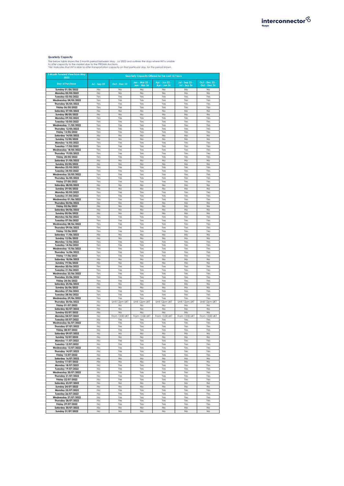

**Quarterly Capacity**<br>The below table shows the 3 month period between May - Jul 2022 and outlines the days where INT is unable<br>to offer capacity to the market due to the PRISMA Auctions.<br>"Yes' indicates that INT is able to

| 3 Month Forward View from May<br>2022              | Quarterly Capacity Offered for the next 15 Years |                |                                |                    |                    |                                |  |  |  |  |  |
|----------------------------------------------------|--------------------------------------------------|----------------|--------------------------------|--------------------|--------------------|--------------------------------|--|--|--|--|--|
| <b>Day of Purchase</b>                             | Jul - Sep 22                                     | Oct - Dec 22   | $Jan - Mar 23$<br>Jan - Mar 36 | Apr - Jun 23 -     | Jul - Sep 23 -     | Oct - Dec 23 -<br>Oct - Dec 36 |  |  |  |  |  |
| Sunday 01/05/2022                                  | No                                               | No             | No                             | Apr - Jun 36<br>No | Jul - Sep 36<br>No | No                             |  |  |  |  |  |
| Monday 02/05/2022                                  | No                                               | No             | No                             | No                 | No                 | No                             |  |  |  |  |  |
| Tuesday 03/05/2022                                 | Yes                                              | Yes            | Yes                            | Yes                | Yes                | Yes                            |  |  |  |  |  |
| Wednesday 04/05/2022                               | Yes                                              | Yes            | Yes                            | Yes                | Yes                | Yes                            |  |  |  |  |  |
| Thursday 05/05/2022<br>Friday 06/05/2022           | Yes<br>Yes                                       | Yes<br>Yes     | Yes<br>Yes                     | Yes<br>Yes         | Yes<br>Yes         | Yes<br>Yes                     |  |  |  |  |  |
| Saturday 07/05/2022                                | No                                               | No             | No                             | No                 | No                 | No                             |  |  |  |  |  |
| Sunday 08/05/2022                                  | No                                               | No             | No                             | No                 | No                 | No                             |  |  |  |  |  |
| Monday 09/05/2022                                  | Yes                                              | Yes            | Yes                            | Yes                | Yes                | Yes                            |  |  |  |  |  |
| Tuesday 10/05/2022                                 | Yes                                              | Yes            | Yes                            | Yes                | Yes                | Yes                            |  |  |  |  |  |
| Wednesday 11/05/2022                               | Yes<br>Yes                                       | Yes<br>Yes     | Yes<br>Yes                     | Yes<br>Yes         | Yes<br>Yes         | Yes<br>Yes                     |  |  |  |  |  |
| Thursday 12/05/2022<br>Friday 13/05/2022           | Yes                                              | Yes            | Yes                            | Yes                | Yes                | Yes                            |  |  |  |  |  |
| Saturday 14/05/2022                                | No                                               | No             | No                             | No                 | No                 | No                             |  |  |  |  |  |
| Sunday 15/05/2022                                  | No                                               | No             | No                             | No                 | No                 | No                             |  |  |  |  |  |
| Monday 16/05/2022                                  | Yes                                              | Yes            | Yes                            | Yes                | Yes                | Yes                            |  |  |  |  |  |
| Tuesday 17/05/2022<br><b>Wednesday 18/05/2022</b>  | Yes<br>Yes                                       | Yes<br>Yes     | Yes<br>Yes                     | Yes<br>Yes         | Yes<br>Yes         | Yes<br>Yes                     |  |  |  |  |  |
| Thursday 19/05/2022                                | Yes                                              | Yes            | Yes                            | Yes                | Yes                | Yes                            |  |  |  |  |  |
| Friday 20/05/2022                                  | Yes                                              | Yes            | Yes                            | Yes                | Yes                | Yes                            |  |  |  |  |  |
| Saturday 21/05/2022                                | No                                               | No             | No                             | No                 | No                 | No                             |  |  |  |  |  |
| Sunday 22/05/2022                                  | No                                               | No             | No                             | No                 | No                 | No                             |  |  |  |  |  |
| Monday 23/05/2022<br>Tuesday 24/05/2022            | Yes<br>Yes                                       | Yes<br>Yes     | Yes<br>Yes                     | Yes<br>Yes         | Yes<br>Yes         | Yes<br>Yes                     |  |  |  |  |  |
| Wednesday 25/05/2022                               | Yes                                              | Yes            | Yes                            | Yes                | Yes                | Yes                            |  |  |  |  |  |
| Thursday 26/05/2022                                | Yes                                              | Yes            | Yes                            | Yes                | Yes                | Yes                            |  |  |  |  |  |
| Friday 27/05/2022                                  | Yes                                              | Yes            | Yes                            | Yes                | Yes                | Yes                            |  |  |  |  |  |
| Saturday 28/05/2022<br>Sunday 29/05/2022           | No<br>No                                         | No<br>No       | No<br>No                       | No<br>No           | No<br>No           | No                             |  |  |  |  |  |
| Monday 30/05/2022                                  | Yes                                              | Yes            | Yes                            | Yes                | Yes                | No<br>Yes                      |  |  |  |  |  |
| Tuesday 31/05/2022                                 | Yes                                              | Yes            | Yes                            | Yes                | Yes                | Yes                            |  |  |  |  |  |
| Wednesday 01/06/2022                               | Yes                                              | Yes            | Yes                            | Yes                | Yes                | Yes                            |  |  |  |  |  |
| Thursday 02/06/2022                                | No                                               | No             | No                             | No                 | No                 | No                             |  |  |  |  |  |
| Friday 03/06/2022<br>Saturday 04/06/2022           | No<br>No                                         | No<br>No       | No<br>No                       | No<br>No           | No<br>No           | No<br>No                       |  |  |  |  |  |
| Sunday 05/06/2022                                  | No                                               | No             | No                             | N <sub>o</sub>     | No                 | No                             |  |  |  |  |  |
| Monday 06/06/2022                                  | Yes                                              | Yes            | Yes                            | Yes                | Yes                | Yes                            |  |  |  |  |  |
| Tuesday 07/06/2022                                 | Yes                                              | Yes            | Yes                            | Yes                | Yes                | Yes                            |  |  |  |  |  |
| <b>Wednesday 08/06/2022</b>                        | Yes                                              | Yes            | Yes                            | Yes                | Yes                | Yes                            |  |  |  |  |  |
| Thursday 09/06/2022<br>Friday 10/06/2022           | Yes<br>Yes                                       | Yes<br>Yes     | Yes<br>Yes                     | Yes<br>Yes         | Yes<br>Yes         | Yes<br>Yes                     |  |  |  |  |  |
| Saturday 11/06/2022                                | No                                               | No             | No                             | No                 | No                 | No                             |  |  |  |  |  |
| Sunday 12/06/2022                                  | No                                               | No             | No                             | No                 | No                 | No                             |  |  |  |  |  |
| Monday 13/06/2022                                  | Yes                                              | Yes            | Yes                            | Yes                | Yes                | Yes                            |  |  |  |  |  |
| Tuesday 14/06/2022<br>Wednesday 15/06/2022         | Yes<br>Yes                                       | Yes<br>Yes     | Yes<br>Yes                     | Yes<br>Yes         | Yes<br>Yes         | Yes<br>Yes                     |  |  |  |  |  |
| Thursday 16/06/2022                                | Yes                                              | Yes            | Yes                            | Yes                | Yes                | Yes                            |  |  |  |  |  |
| Friday 17/06/2022                                  | Yes                                              | Yes            | Yes                            | Yes                | Yes                | Yes                            |  |  |  |  |  |
| Saturday 18/06/2022                                | No                                               | No             | No                             | No                 | No                 | No                             |  |  |  |  |  |
| Sunday 19/06/2022                                  | No                                               | No             | No                             | No                 | No                 | No                             |  |  |  |  |  |
| Monday 20/06/2022<br>Tuesday 21/06/2022            | Yes<br>Yes                                       | Yes<br>Yes     | Yes<br>Yes                     | Yes<br>Yes         | Yes<br>Yes         | Yes<br>Yes                     |  |  |  |  |  |
| Wednesday 22/06/2022                               | Yes                                              | Yes            | Yes                            | Yes                | Yes                | Yes                            |  |  |  |  |  |
| Thursday 23/06/2022                                | Yes                                              | Yes            | Yes                            | Yes                | Yes                | Yes                            |  |  |  |  |  |
| Friday 24/06/2022                                  | Yes                                              | Yes            | Yes                            | Yes                | Yes                | Yes                            |  |  |  |  |  |
| Saturday 25/06/2022<br>Sunday 26/06/2022           | No<br>No                                         | No<br>No       | No<br>No                       | No<br>No           | No<br>No           | No<br>No                       |  |  |  |  |  |
| Monday 27/06/2022                                  | Yes                                              | Yes            | Yes                            | Yes                | Yes                | Yes                            |  |  |  |  |  |
| Tuesday 28/06/2022                                 | Yes                                              | Yes            | Yes                            | Yes                | Yes                | Yes                            |  |  |  |  |  |
| Wednesday 29/06/2022                               | Yes                                              | Yes            | Yes                            | Yes                | Yes                | Yes                            |  |  |  |  |  |
| Thursday 30/06/2022                                | No                                               | Until 12pm UKT | Until 12pm UKT                 | Until 12pm UKT     | Until 12pm UKT     | Until 12pm UKT<br>No           |  |  |  |  |  |
| Friday 01/07/2022<br>Saturday 02/07/2022           | No<br>No                                         | No<br>No       | No<br>No                       | No<br>No           | No<br>No           | No                             |  |  |  |  |  |
| Sunday 03/07/2022                                  | No                                               | No             | No                             | No                 | No                 | No                             |  |  |  |  |  |
| Monday 04/07/2022                                  | No                                               | From 13:00 UKT | From 13:00 UKT                 | From 13:00 UKT     | From 13:00 UKT     | From 13:00 UKT                 |  |  |  |  |  |
| Tuesday 05/07/2022                                 | No                                               | Yes            | Yes                            | Yes                | Yes                | Yes                            |  |  |  |  |  |
| <b>Wednesday 06/07/2022</b><br>Thursday 07/07/2022 | No<br>No                                         | Yes<br>Yes     | Yes<br>Yes                     | Yes<br>Yes         | Yes<br>Yes         | Yes<br>Yes                     |  |  |  |  |  |
| Friday 08/07/2022                                  | No                                               | Yes            | Yes                            | Yes                | Yes                | Yes                            |  |  |  |  |  |
| Saturday 09/07/2022                                | No                                               | No             | No                             | No                 | No                 | No                             |  |  |  |  |  |
| Sunday 10/07/2022                                  | No                                               | No             | No                             | No                 | No                 | No                             |  |  |  |  |  |
| Monday 11/07/2022<br>Tuesday 12/07/2022            | No<br>No                                         | Yes<br>Yes     | Yes<br>Yes                     | Yes<br>Yes         | Yes<br>Yes         | Yes<br>Yes                     |  |  |  |  |  |
| Wednesday 13/07/2022                               | No                                               | Yes            | Yes                            | Yes                | Yes                | Yes                            |  |  |  |  |  |
| Thursday 14/07/2022                                | No                                               | Yes            | Yes                            | Yes                | Yes                | Yes                            |  |  |  |  |  |
| Friday 15/07/2022                                  | No                                               | Yes            | Yes                            | Yes                | Yes                | Yes                            |  |  |  |  |  |
| Saturday 16/07/2022                                | No<br>No                                         | No<br>No       | No<br>No                       | No<br>No           | No<br>No           | No<br>No                       |  |  |  |  |  |
| Sunday 17/07/2022<br>Monday 18/07/2022             | No                                               | Yes            | Yes                            | Yes                | Yes                | Yes                            |  |  |  |  |  |
| Tuesday 19/07/2022                                 | No                                               | Yes            | Yes                            | Yes                | Yes                | Yes                            |  |  |  |  |  |
| Wednesday 20/07/2022                               | No                                               | Yes            | Yes                            | Yes                | Yes                | Yes                            |  |  |  |  |  |
| Thursday 21/07/2022                                | No                                               | Yes            | Yes                            | Yes                | Yes                | Yes                            |  |  |  |  |  |
| Friday 22/07/2022<br>Saturday 23/07/2022           | No<br>No                                         | Yes<br>No      | Yes<br>No                      | Yes<br>No          | Yes<br>No          | Yes<br>No                      |  |  |  |  |  |
| Sunday 24/07/2022                                  | No                                               | No             | No                             | No                 | No                 | No                             |  |  |  |  |  |
| Monday 25/07/2022                                  | No                                               | Yes            | Yes                            | Yes                | Yes                | Yes                            |  |  |  |  |  |
| Tuesday 26/07/2022                                 | No                                               | Yes            | Yes                            | Yes                | Yes                | Yes                            |  |  |  |  |  |
| <b>Wednesday 27/07/2022</b>                        | No                                               | Yes            | Yes                            | Yes                | Yes                | Yes                            |  |  |  |  |  |
| Thursday 28/07/2022<br>Friday 29/07/2022           | No<br>No                                         | Yes<br>Yes     | Yes<br>Yes                     | Yes<br>Yes         | Yes<br>Yes         | Yes<br>Yes                     |  |  |  |  |  |
| Saturday 30/07/2022                                | No                                               | No             | No                             | No                 | No                 | No                             |  |  |  |  |  |
| Sunday 31/07/2022                                  | No                                               | No             | No                             | No                 | No                 | No                             |  |  |  |  |  |